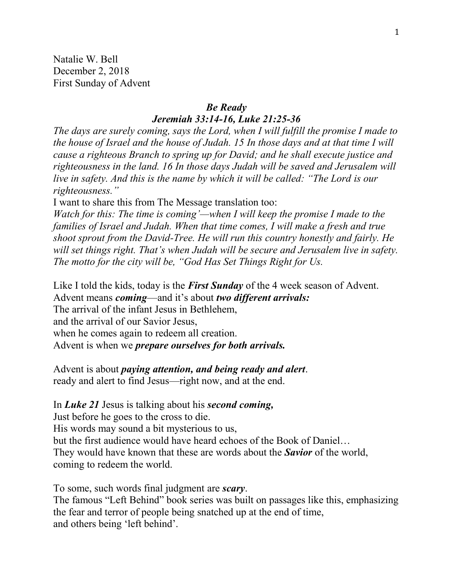Natalie W. Bell December 2, 2018 First Sunday of Advent

## *Be Ready Jeremiah 33:14-16, Luke 21:25-36*

*The days are surely coming, says the Lord, when I will fulfill the promise I made to the house of Israel and the house of Judah. 15 In those days and at that time I will cause a righteous Branch to spring up for David; and he shall execute justice and righteousness in the land. 16 In those days Judah will be saved and Jerusalem will live in safety. And this is the name by which it will be called: "The Lord is our righteousness."*

I want to share this from The Message translation too:

*Watch for this: The time is coming'—when I will keep the promise I made to the families of Israel and Judah. When that time comes, I will make a fresh and true shoot sprout from the David-Tree. He will run this country honestly and fairly. He will set things right. That's when Judah will be secure and Jerusalem live in safety. The motto for the city will be, "God Has Set Things Right for Us.*

Like I told the kids, today is the *First Sunday* of the 4 week season of Advent. Advent means *coming*—and it's about *two different arrivals:* The arrival of the infant Jesus in Bethlehem,

and the arrival of our Savior Jesus,

when he comes again to redeem all creation.

Advent is when we *prepare ourselves for both arrivals.*

Advent is about *paying attention, and being ready and alert*. ready and alert to find Jesus—right now, and at the end.

In *Luke 21* Jesus is talking about his *second coming,* Just before he goes to the cross to die. His words may sound a bit mysterious to us, but the first audience would have heard echoes of the Book of Daniel… They would have known that these are words about the *Savior* of the world, coming to redeem the world.

To some, such words final judgment are *scary*. The famous "Left Behind" book series was built on passages like this, emphasizing the fear and terror of people being snatched up at the end of time, and others being 'left behind'.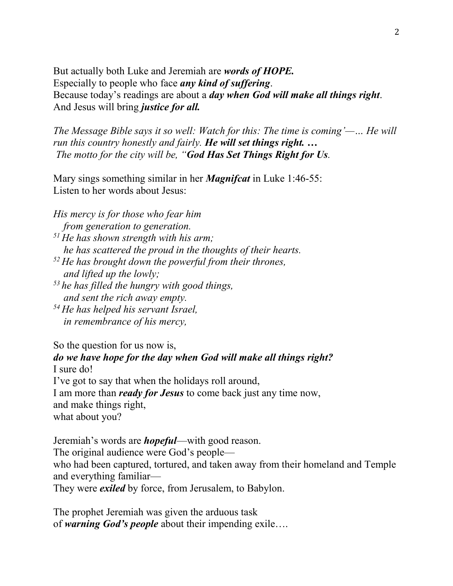But actually both Luke and Jeremiah are *words of HOPE.* Especially to people who face *any kind of suffering*. Because today's readings are about a *day when God will make all things right*. And Jesus will bring *justice for all.* 

*The Message Bible says it so well: Watch for this: The time is coming'—… He will run this country honestly and fairly. He will set things right. … The motto for the city will be, "God Has Set Things Right for Us.*

Mary sings something similar in her *Magnifcat* in Luke 1:46-55: Listen to her words about Jesus:

*His mercy is for those who fear him from generation to generation. <sup>51</sup> He has shown strength with his arm; he has scattered the proud in the thoughts of their hearts. <sup>52</sup> He has brought down the powerful from their thrones,*

*and lifted up the lowly;*

*<sup>53</sup> he has filled the hungry with good things, and sent the rich away empty.*

*<sup>54</sup> He has helped his servant Israel, in remembrance of his mercy,*

So the question for us now is,

*do we have hope for the day when God will make all things right?*  I sure do!

I've got to say that when the holidays roll around,

I am more than *ready for Jesus* to come back just any time now,

and make things right,

what about you?

Jeremiah's words are *hopeful*—with good reason.

The original audience were God's people—

who had been captured, tortured, and taken away from their homeland and Temple and everything familiar—

They were *exiled* by force, from Jerusalem, to Babylon.

The prophet Jeremiah was given the arduous task of *warning God's people* about their impending exile….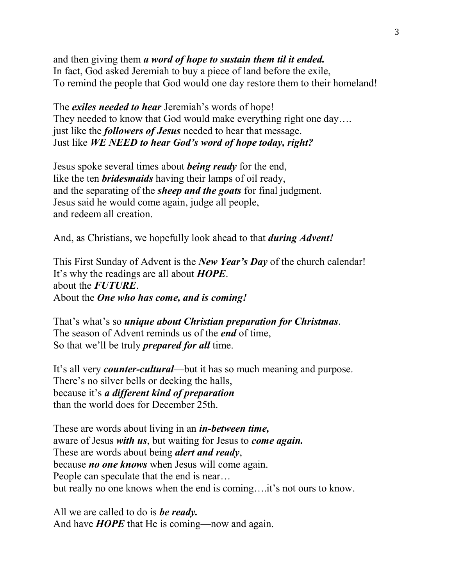and then giving them *a word of hope to sustain them til it ended.* In fact, God asked Jeremiah to buy a piece of land before the exile, To remind the people that God would one day restore them to their homeland!

The *exiles needed to hear* Jeremiah's words of hope! They needed to know that God would make everything right one day.... just like the *followers of Jesus* needed to hear that message. Just like *WE NEED to hear God's word of hope today, right?*

Jesus spoke several times about *being ready* for the end, like the ten *bridesmaids* having their lamps of oil ready, and the separating of the *sheep and the goats* for final judgment. Jesus said he would come again, judge all people, and redeem all creation.

And, as Christians, we hopefully look ahead to that *during Advent!*

This First Sunday of Advent is the *New Year's Day* of the church calendar! It's why the readings are all about *HOPE*. about the *FUTURE*. About the *One who has come, and is coming!*

That's what's so *unique about Christian preparation for Christmas*. The season of Advent reminds us of the *end* of time, So that we'll be truly *prepared for all* time.

It's all very *counter-cultural*—but it has so much meaning and purpose. There's no silver bells or decking the halls, because it's *a different kind of preparation* than the world does for December 25th.

These are words about living in an *in-between time,*  aware of Jesus *with us*, but waiting for Jesus to *come again.*  These are words about being *alert and ready*, because *no one knows* when Jesus will come again. People can speculate that the end is near… but really no one knows when the end is coming….it's not ours to know.

All we are called to do is *be ready.*  And have *HOPE* that He is coming—now and again.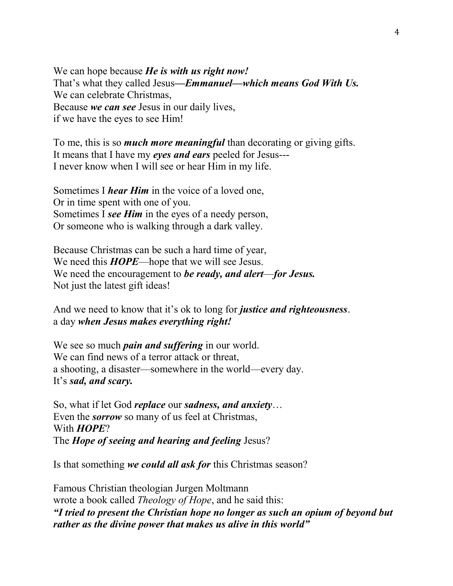We can hope because *He is with us right now!* That's what they called Jesus*—Emmanuel—which means God With Us.* We can celebrate Christmas, Because *we can see* Jesus in our daily lives, if we have the eyes to see Him!

To me, this is so *much more meaningful* than decorating or giving gifts. It means that I have my *eyes and ears* peeled for Jesus--- I never know when I will see or hear Him in my life.

Sometimes I *hear Him* in the voice of a loved one, Or in time spent with one of you. Sometimes I *see Him* in the eyes of a needy person, Or someone who is walking through a dark valley.

Because Christmas can be such a hard time of year, We need this *HOPE*—hope that we will see Jesus. We need the encouragement to *be ready, and alert*—*for Jesus.*  Not just the latest gift ideas!

And we need to know that it's ok to long for *justice and righteousness*. a day *when Jesus makes everything right!*

We see so much *pain and suffering* in our world. We can find news of a terror attack or threat, a shooting, a disaster—somewhere in the world—every day. It's *sad, and scary.*

So, what if let God *replace* our *sadness, and anxiety*… Even the *sorrow* so many of us feel at Christmas, With *HOPE*? The *Hope of seeing and hearing and feeling* Jesus?

Is that something *we could all ask for* this Christmas season?

Famous Christian theologian Jurgen Moltmann wrote a book called *Theology of Hope*, and he said this: *"I tried to present the Christian hope no longer as such an opium of beyond but rather as the divine power that makes us alive in this world"*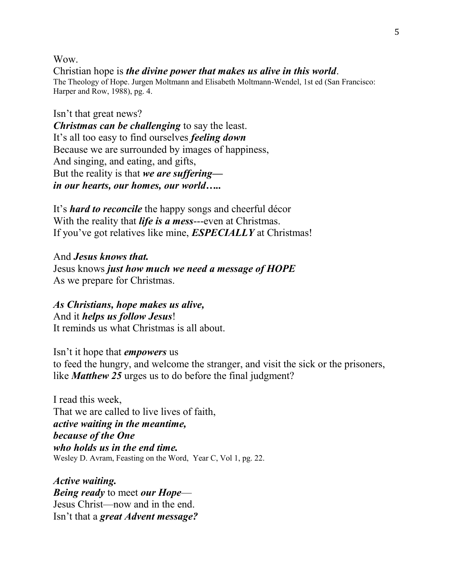Wow.

Christian hope is *the divine power that makes us alive in this world*. The Theology of Hope. Jurgen Moltmann and Elisabeth Moltmann-Wendel, 1st ed (San Francisco: Harper and Row, 1988), pg. 4.

Isn't that great news? *Christmas can be challenging* to say the least. It's all too easy to find ourselves *feeling down*  Because we are surrounded by images of happiness, And singing, and eating, and gifts, But the reality is that *we are suffering in our hearts, our homes, our world…..*

It's *hard to reconcile* the happy songs and cheerful décor With the reality that *life is a mess*---even at Christmas. If you've got relatives like mine, *ESPECIALLY* at Christmas!

And *Jesus knows that.*  Jesus knows *just how much we need a message of HOPE* As we prepare for Christmas.

*As Christians, hope makes us alive,*  And it *helps us follow Jesus*! It reminds us what Christmas is all about.

Isn't it hope that *empowers* us to feed the hungry, and welcome the stranger, and visit the sick or the prisoners, like *Matthew 25* urges us to do before the final judgment?

I read this week, That we are called to live lives of faith, *active waiting in the meantime, because of the One who holds us in the end time.*  Wesley D. Avram, Feasting on the Word, Year C, Vol 1, pg. 22.

*Active waiting. Being ready* to meet *our Hope*— Jesus Christ—now and in the end. Isn't that a *great Advent message?*